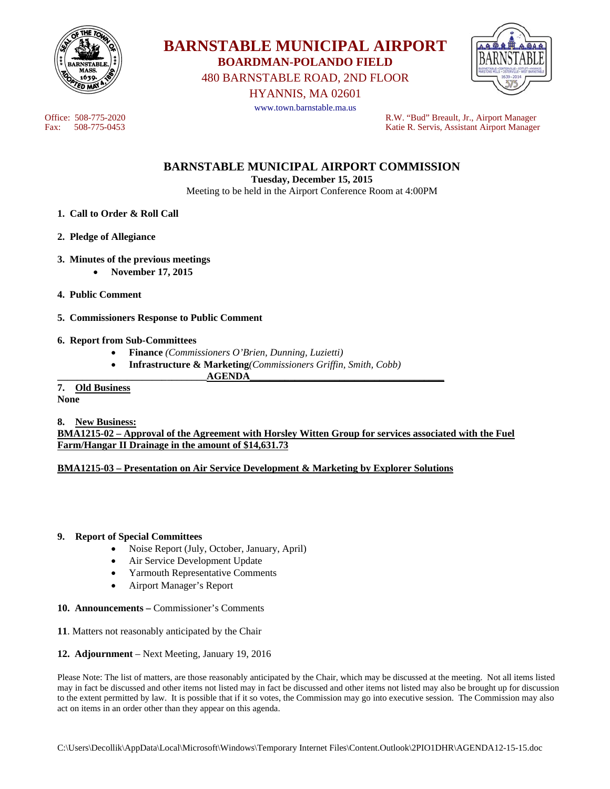



480 BARNSTABLE ROAD, 2ND FLOOR

HYANNIS, MA 02601



www.town.barnstable.ma.us

Office: 508-775-2020 R.W. "Bud" Breault, Jr., Airport Manager Katie R. Servis, Assistant Airport Manager

**BARNSTABLE MUNICIPAL AIRPORT COMMISSION** 

**Tuesday, December 15, 2015** 

Meeting to be held in the Airport Conference Room at 4:00PM

- **1. Call to Order & Roll Call**
- **2. Pledge of Allegiance**
- **3. Minutes of the previous meetings** 
	- **November 17, 2015**
- **4. Public Comment**
- **5. Commissioners Response to Public Comment**

### **6. Report from Sub-Committees**

- **Finance** *(Commissioners O'Brien, Dunning, Luzietti)*
- **Infrastructure & Marketing***(Commissioners Griffin, Smith, Cobb)*

#### **\_\_\_\_\_\_\_\_\_\_\_\_\_\_\_\_\_\_\_\_\_\_\_\_\_\_\_\_\_\_AGENDA\_\_\_\_\_\_\_\_\_\_\_\_\_\_\_\_\_\_\_\_\_\_\_\_\_\_\_\_\_\_\_\_\_\_\_\_\_\_\_ 7. Old Business**

**None** 

**8. New Business:** 

**BMA1215-02 – Approval of the Agreement with Horsley Witten Group for services associated with the Fuel Farm/Hangar II Drainage in the amount of \$14,631.73** 

## **BMA1215-03 – Presentation on Air Service Development & Marketing by Explorer Solutions**

### **9. Report of Special Committees**

- Noise Report (July, October, January, April)
- Air Service Development Update
- Yarmouth Representative Comments
- Airport Manager's Report
- **10. Announcements** Commissioner's Comments
- **11**. Matters not reasonably anticipated by the Chair
- **12. Adjournment** Next Meeting, January 19, 2016

Please Note: The list of matters, are those reasonably anticipated by the Chair, which may be discussed at the meeting. Not all items listed may in fact be discussed and other items not listed may in fact be discussed and other items not listed may also be brought up for discussion to the extent permitted by law. It is possible that if it so votes, the Commission may go into executive session. The Commission may also act on items in an order other than they appear on this agenda.